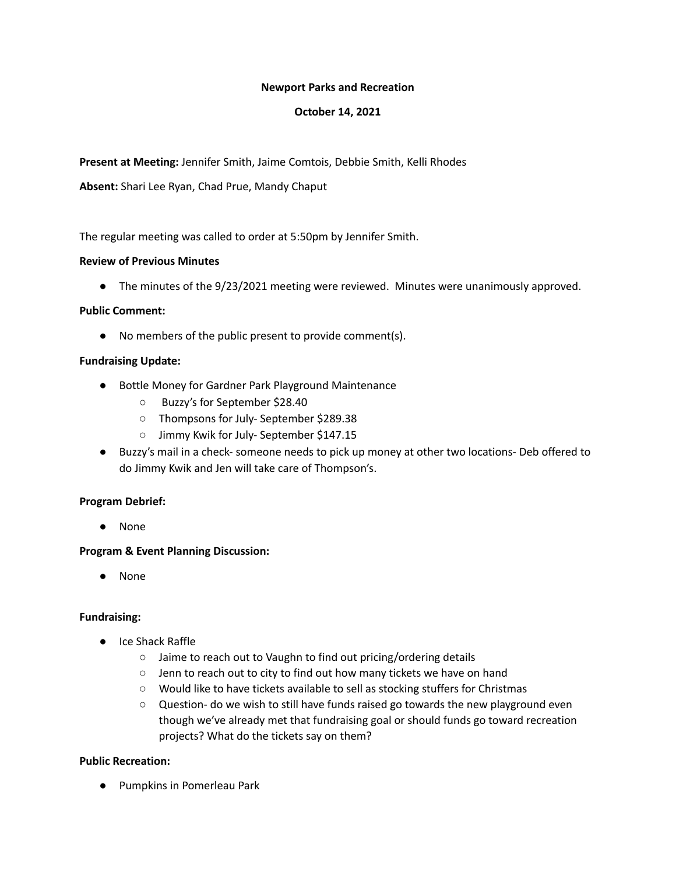### **Newport Parks and Recreation**

## **October 14, 2021**

**Present at Meeting:** Jennifer Smith, Jaime Comtois, Debbie Smith, Kelli Rhodes

**Absent:** Shari Lee Ryan, Chad Prue, Mandy Chaput

The regular meeting was called to order at 5:50pm by Jennifer Smith.

## **Review of Previous Minutes**

● The minutes of the 9/23/2021 meeting were reviewed. Minutes were unanimously approved.

### **Public Comment:**

● No members of the public present to provide comment(s).

### **Fundraising Update:**

- Bottle Money for Gardner Park Playground Maintenance
	- Buzzy's for September \$28.40
	- Thompsons for July- September \$289.38
	- Jimmy Kwik for July- September \$147.15
- Buzzy's mail in a check- someone needs to pick up money at other two locations- Deb offered to do Jimmy Kwik and Jen will take care of Thompson's.

# **Program Debrief:**

● None

# **Program & Event Planning Discussion:**

● None

# **Fundraising:**

- Ice Shack Raffle
	- Jaime to reach out to Vaughn to find out pricing/ordering details
	- Jenn to reach out to city to find out how many tickets we have on hand
	- Would like to have tickets available to sell as stocking stuffers for Christmas
	- Question- do we wish to still have funds raised go towards the new playground even though we've already met that fundraising goal or should funds go toward recreation projects? What do the tickets say on them?

#### **Public Recreation:**

● Pumpkins in Pomerleau Park